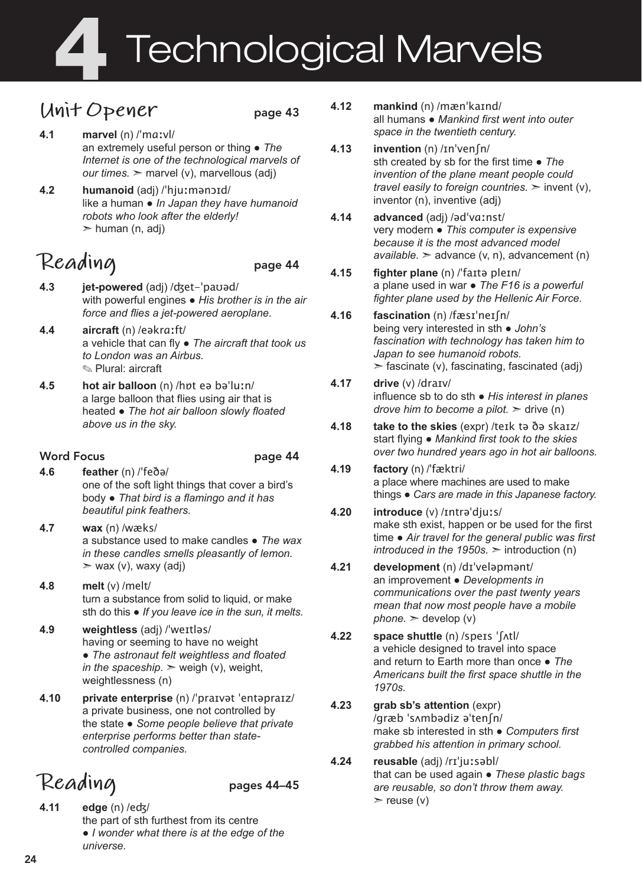# 4 Technological Marvels

### **Unit Opener** page 43

- **4.1 marvel** (n) /ˈmɑːvl/ an extremely useful person or thing ● *The Internet is one of the technological marvels of our times.* ➣ marvel (v), marvellous (adj)
- **4.2 humanoid** (adj) /ˈhjuːmənɔɪd/ like a human ● *In Japan they have humanoid robots who look after the elderly!*   $>$  human (n, adj)

## **Reading** page 44

- **4.3 jet-powered** (adj) /ʤet-ˈpaʊəd/ with powerful engines ● *His brother is in the air force and flies a jet-powered aeroplane.*
- **4.4 aircraft** (n) /eəkrɑːft/ a vehicle that can fly ● *The aircraft that took us to London was an Airbus.* ✎ Plural: aircraft
- **4.5 hot air balloon** (n) /hɒt eə bəˈluːn/ a large balloon that flies using air that is heated ● *The hot air balloon slowly floated above us in the sky.*

### Word Focus **page 44**

- **4.6 feather** (n) /ˈfeðə/ one of the soft light things that cover a bird's body ● *That bird is a flamingo and it has beautiful pink feathers.*
- **4.7 wax** (n) /wæks/ a substance used to make candles ● *The wax in these candles smells pleasantly of lemon.*   $>$  wax (v), waxy (adj)
- **4.8 melt** (v) /melt/ turn a substance from solid to liquid, or make sth do this ● *If you leave ice in the sun, it melts.*
- **4.9 weightless** (adj) /ˈweɪtləs/ having or seeming to have no weight ● *The astronaut felt weightless and floated in the spaceship.*  $>$  weigh (v), weight, weightlessness (n)
- **4.10 private enterprise** (n) /ˈpraɪvət ˈentəpraɪz/ a private business, one not controlled by the state ● *Some people believe that private enterprise performs better than statecontrolled companies.*

## Reading pages 44–45

**4.11 edge** (n) /eʤ/ the part of sth furthest from its centre ● *I wonder what there is at the edge of the universe.*

- **4.12 mankind** (n) /mænˈkaɪnd/ all humans ● *Mankind first went into outer space in the twentieth century.*
- **4.13 invention** (n) /ɪnˈvenʃn/ sth created by sb for the first time ● *The invention of the plane meant people could travel easily to foreign countries.* ➣ invent (v), inventor (n), inventive (adj)
- **4.14 advanced** (adj) /ədˈvɑːnst/ very modern ● *This computer is expensive because it is the most advanced model*   $available.$   $\geq$  advance (v, n), advancement (n)
- **4.15 fighter plane** (n) /ˈfaɪtə pleɪn/ a plane used in war ● *The F16 is a powerful fighter plane used by the Hellenic Air Force.*
- **4.16 fascination** (n) /fæsɪˈneɪʃn/ being very interested in sth ● *John's fascination with technology has taken him to Japan to see humanoid robots.*   $\ge$  fascinate (v), fascinating, fascinated (adj)
- **4.17 drive** (v) /draɪv/ influence sb to do sth ● *His interest in planes drove him to become a pilot.*  $\geq$  drive (n)
- **4.18 take to the skies** (expr) /teɪk tə ðə skaɪz/ start flying ● *Mankind first took to the skies over two hundred years ago in hot air balloons.*
- **4.19 factory** (n) /ˈfæktri/ a place where machines are used to make things ● *Cars are made in this Japanese factory.*
- **4.20 introduce** (v) /ɪntrəˈdjuːs/ make sth exist, happen or be used for the first time ● *Air travel for the general public was first introduced in the 1950s.*  $>$  introduction (n)
- **4.21 development** (n) /dɪˈveləpmənt/ an improvement ● *Developments in communications over the past twenty years mean that now most people have a mobile phone.*  $\geq$  develop (v)
- **4.22 space shuttle** (n) /speɪs ˈʃʌtl/ a vehicle designed to travel into space and return to Earth more than once ● *The Americans built the first space shuttle in the 1970s.*
- **4.23 grab sb's attention** (expr) /græb ˈsʌmbədiz əˈtenʃn/ make sb interested in sth ● *Computers first grabbed his attention in primary school.*
- **4.24 reusable** (adj) /rɪˈjuːsəbl/ that can be used again ● *These plastic bags are reusable, so don't throw them away.*   $\ge$  reuse (v)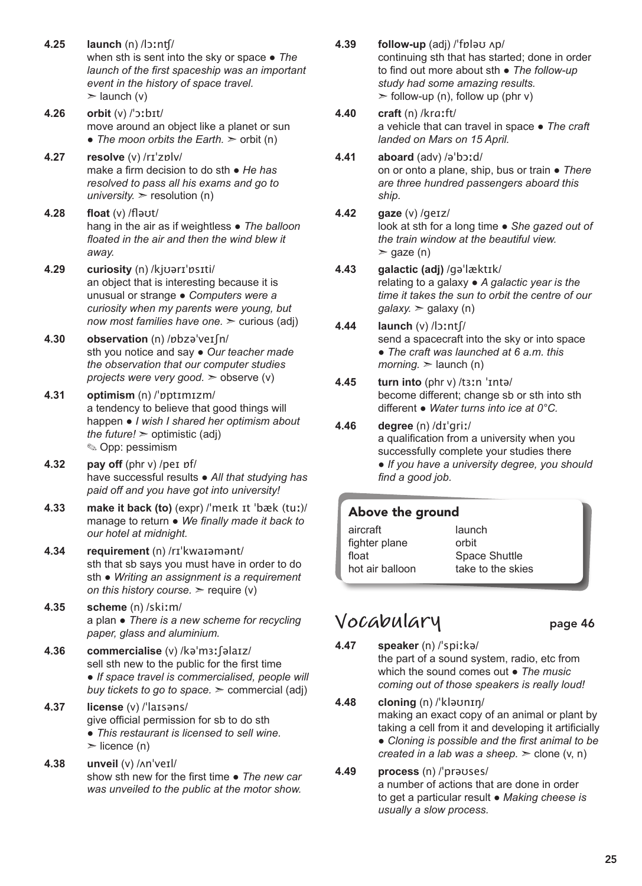- **4.25 launch** (n) /lɔːnʧ/ when sth is sent into the sky or space ● *The launch of the first spaceship was an important event in the history of space travel.*   $\blacktriangleright$  launch (v)
- **4.26 orbit** (v) /ˈɔːbɪt/ move around an object like a planet or sun • *The moon orbits the Earth.* > orbit (n)
- **4.27 resolve** (v) /rɪˈzɒlv/ make a firm decision to do sth ● *He has resolved to pass all his exams and go to university.*  $>$  resolution (n)
- **4.28 float** (v) /fləʊt/ hang in the air as if weightless ● *The balloon floated in the air and then the wind blew it away.*
- **4.29 curiosity** (n) /kjʊərɪˈɒsɪti/ an object that is interesting because it is unusual or strange ● *Computers were a curiosity when my parents were young, but now most families have one.* > curious (adj)
- **4.30 observation** (n) /ɒbzəˈveɪʃn/ sth you notice and say ● *Our teacher made the observation that our computer studies projects were very good.* ➣ observe (v)
- **4.31 optimism** (n) /ˈɒptɪmɪzm/ a tendency to believe that good things will happen ● *I wish I shared her optimism about the future!*  $>$  optimistic (adj) ✎ Opp: pessimism
- **4.32 pay off** (phr v) /peɪ ɒf/ have successful results ● *All that studying has paid off and you have got into university!*
- **4.33 make it back (to)** (expr) /ˈmeɪk ɪt ˈbæk (tuː)/ manage to return ● *We finally made it back to our hotel at midnight.*
- **4.34 requirement** (n) /rɪˈkwaɪəmənt/ sth that sb says you must have in order to do sth ● *Writing an assignment is a requirement on this history course.* ➣ require (v)
- **4.35 scheme** (n) /skiːm/ a plan ● *There is a new scheme for recycling paper, glass and aluminium.*
- **4.36 commercialise** (v) /kəˈmɜːʃəlaɪz/ sell sth new to the public for the first time ● *If space travel is commercialised, people will buy tickets to go to space.* ➣ commercial (adj)
- **4.37 license** (v) /ˈlaɪsəns/ give official permission for sb to do sth ● *This restaurant is licensed to sell wine.*   $\triangleright$  licence (n)
- **4.38 unveil** (v) /ʌnˈveɪl/ show sth new for the first time ● *The new car was unveiled to the public at the motor show.*
- **4.39 follow-up** (adj) /ˈfɒləʊ ʌp/ continuing sth that has started; done in order to find out more about sth ● *The follow-up study had some amazing results.*  $\ge$  follow-up (n), follow up (phr v)
- **4.40 craft** (n) /krɑːft/ a vehicle that can travel in space ● *The craft landed on Mars on 15 April.*
- **4.41 aboard** (adv) /əˈbɔːd/ on or onto a plane, ship, bus or train ● *There are three hundred passengers aboard this ship.*
- **4.42 gaze** (v) /geɪz/ look at sth for a long time ● *She gazed out of the train window at the beautiful view.*   $\ge$  gaze (n)
- **4.43 galactic (adj)** /ɡəˈlæktɪk/ relating to a galaxy ● *A galactic year is the time it takes the sun to orbit the centre of our galaxy.* ➣ galaxy (n)
- **4.44 launch** (v) /lɔːntʃ/ send a spacecraft into the sky or into space ● *The craft was launched at 6 a.m. this*   $$
- **4.45 turn into** (phr v) /tɜːn ˈɪntə/ become different; change sb or sth into sth different ● *Water turns into ice at 0°C.*
- **4.46 degree** (n) /dɪˈgriː/ a qualification from a university when you successfully complete your studies there ● *If you have a university degree, you should find a good job.*

### Above the ground

| aircraft        | launch            |
|-----------------|-------------------|
| fighter plane   | orbit             |
| float           | Space Shuttle     |
| hot air balloon | take to the skies |
|                 |                   |

### **Vocabulary** page 46

- **4.47 speaker** (n) /ˈspiːkə/ the part of a sound system, radio, etc from which the sound comes out ● *The music coming out of those speakers is really loud!*
- **4.48 cloning** (n) /ˈkləʊnɪŋ/ making an exact copy of an animal or plant by taking a cell from it and developing it artificially ● *Cloning is possible and the first animal to be created in a lab was a sheep.* ➣ clone (v, n)

#### **4.49 process** (n) /ˈprəʊses/ a number of actions that are done in order to get a particular result ● *Making cheese is usually a slow process.*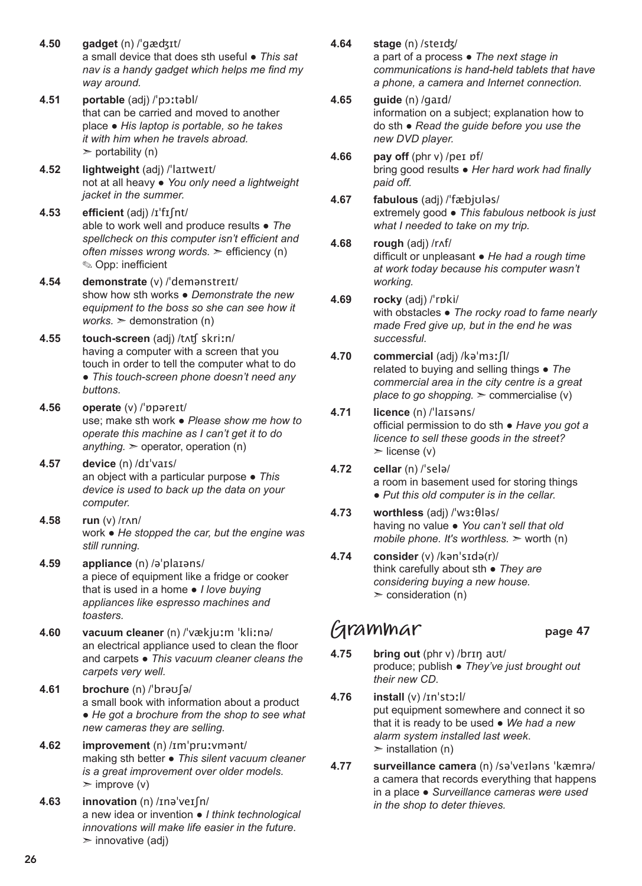- **4.50 gadget** (n) /ˈgæʤɪt/ a small device that does sth useful ● *This sat nav is a handy gadget which helps me find my way around.*
- **4.51 portable** (adj) /ˈpɔːtəbl/ that can be carried and moved to another place ● *His laptop is portable, so he takes it with him when he travels abroad.*   $\triangleright$  portability (n)
- **4.52 lightweight** (adj) /ˈlaɪtweɪt/ not at all heavy ● *You only need a lightweight jacket in the summer.*
- **4.53 efficient** (adj) /ɪˈfɪʃnt/ able to work well and produce results ● *The spellcheck on this computer isn't efficient and often misses wrong words.* ➣ efficiency (n) ✎ Opp: inefficient
- **4.54 demonstrate** (v) /ˈdemənstreɪt/ show how sth works ● *Demonstrate the new equipment to the boss so she can see how it works.*  $\geq$  demonstration (n)
- **4.55 touch-screen** (adj) /tʌʧ skriːn/ having a computer with a screen that you touch in order to tell the computer what to do ● *This touch-screen phone doesn't need any buttons.*
- **4.56 operate** (v) /ˈɒpəreɪt/ use; make sth work ● *Please show me how to operate this machine as I can't get it to do anything.* ➣ operator, operation (n)
- **4.57 device** (n) /dɪˈvaɪs/ an object with a particular purpose ● *This device is used to back up the data on your computer.*
- **4.58 run** (v) /rʌn/ work ● *He stopped the car, but the engine was still running.*
- **4.59 appliance** (n) /əˈplaɪəns/ a piece of equipment like a fridge or cooker that is used in a home ● *I love buying appliances like espresso machines and toasters.*
- **4.60 vacuum cleaner** (n) /ˈvækjuːm ˈkliːnə/ an electrical appliance used to clean the floor and carpets ● *This vacuum cleaner cleans the carpets very well.*
- **4.61 brochure** (n) /ˈbrəʊʃə/ a small book with information about a product ● *He got a brochure from the shop to see what new cameras they are selling.*
- **4.62 improvement** (n) /ɪmˈpruːvmənt/ making sth better ● *This silent vacuum cleaner is a great improvement over older models.*   $\geq$  improve (v)
- **4.63 innovation** (n) /ɪnəˈveɪʃn/ a new idea or invention ● *I think technological innovations will make life easier in the future.*   $\triangleright$  innovative (adj)
- **4.64 stage** (n) /steɪʤ/ a part of a process ● *The next stage in communications is hand-held tablets that have a phone, a camera and Internet connection.*
- **4.65 guide** (n) /gaɪd/ information on a subject; explanation how to do sth ● *Read the guide before you use the new DVD player.*
- **4.66 pay off** (phr v) /peɪ ɒf/ bring good results ● *Her hard work had finally paid off.*
- **4.67 fabulous** (adj) /ˈfæbjʊləs/ extremely good ● *This fabulous netbook is just what I needed to take on my trip.*
- **4.68 rough** (adj) /rʌf/ difficult or unpleasant ● *He had a rough time at work today because his computer wasn't working.*
- **4.69 rocky** (adj) /ˈrɒki/ with obstacles ● *The rocky road to fame nearly made Fred give up, but in the end he was successful.*
- **4.70 commercial** (adj) /kəˈmɜːʃl/ related to buying and selling things ● *The commercial area in the city centre is a great place to go shopping.* ➣ commercialise (v)
- **4.71 licence** (n) /ˈlaɪsəns/ official permission to do sth ● *Have you got a licence to sell these goods in the street?*   $\triangleright$  license (v)
- **4.72 cellar** (n) /ˈselə/ a room in basement used for storing things ● *Put this old computer is in the cellar.*
- **4.73 worthless** (adj) /ˈwɜːθləs/ having no value ● *You can't sell that old mobile phone. It's worthless.* > worth (n)
- **4.74 consider** (v) /kənˈsɪdə(r)/ think carefully about sth ● *They are considering buying a new house.*  $\ge$  consideration (n)

### **Grammar** page 47

- **4.75 bring out** (phr v) /brɪŋ aʊt/ produce; publish ● *They've just brought out their new CD.*
- **4.76 install** (v) /ɪnˈstɔːl/ put equipment somewhere and connect it so that it is ready to be used ● *We had a new alarm system installed last week*.  $\triangleright$  installation (n)
- **4.77 surveillance camera** (n) /səˈveɪləns ˈkæmrə/ a camera that records everything that happens in a place ● *Surveillance cameras were used in the shop to deter thieves.*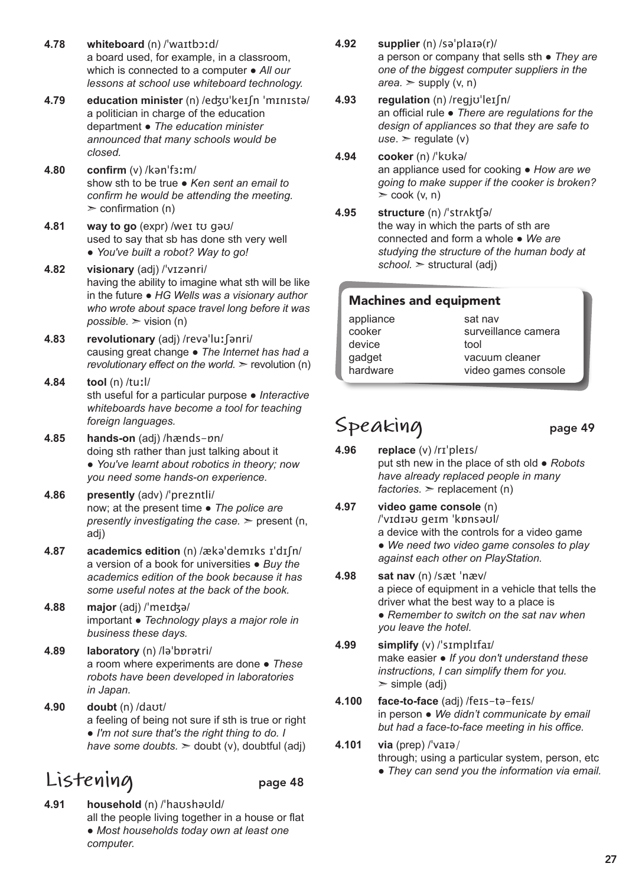- **4.78 whiteboard** (n) /ˈwaɪtbɔːd/ a board used, for example, in a classroom, which is connected to a computer ● *All our lessons at school use whiteboard technology.*
- **4.79 education minister** (n) /eʤʊˈkeɪʃn ˈmɪnɪstə/ a politician in charge of the education department ● *The education minister announced that many schools would be closed.*
- **4.80 confirm** (v) /kənˈfɜːm/ show sth to be true ● *Ken sent an email to confirm he would be attending the meeting.*  $\geq$  confirmation (n)
- **4.81 way to go** (expr) /weɪ tʊ gəʊ/ used to say that sb has done sth very well ● *You've built a robot? Way to go!*
- **4.82 visionary** (adj) /ˈvɪzənri/ having the ability to imagine what sth will be like in the future ● *HG Wells was a visionary author who wrote about space travel long before it was possible.* ➣ vision (n)
- **4.83 revolutionary** (adj) /revəˈluːʃənri/ causing great change ● *The Internet has had a revolutionary effect on the world.* > revolution (n)

#### **4.84 tool** (n) /tuːl/ sth useful for a particular purpose ● *Interactive whiteboards have become a tool for teaching foreign languages.*

- **4.85 hands-on** (adj) /hænds-ɒn/ doing sth rather than just talking about it ● *You've learnt about robotics in theory; now you need some hands-on experience.*
- **4.86 presently** (adv) /ˈprezntli/ now; at the present time ● *The police are presently investigating the case.* ➣ present (n, adj)
- **4.87 academics edition** (n) /ækəˈdemɪks ɪˈdɪʃn/ a version of a book for universities ● *Buy the academics edition of the book because it has some useful notes at the back of the book.*
- **4.88 major** (adj) /ˈmeɪʤə/ important ● *Technology plays a major role in business these days.*
- **4.89 laboratory** (n) /ləˈbɒrətri/ a room where experiments are done ● *These robots have been developed in laboratories in Japan.*
- **4.90 doubt** (n) /daʊt/ a feeling of being not sure if sth is true or right ● *I'm not sure that's the right thing to do. I have some doubts.* ➣ doubt (v), doubtful (adj)

## **Listening** page 48

**4.91 household** (n) /ˈhaʊshəʊld/ all the people living together in a house or flat ● *Most households today own at least one computer.*

- **4.92 supplier** (n) /səˈplaɪə(r)/ a person or company that sells sth ● *They are one of the biggest computer suppliers in the*   $area.$   $\ge$  supply  $(v, n)$
- **4.93 regulation** (n) /regjʊˈleɪʃn/ an official rule ● *There are regulations for the design of appliances so that they are safe to use*. ➣ regulate (v)
- **4.94 cooker** (n) /ˈkʊkə/ an appliance used for cooking ● *How are we going to make supper if the cooker is broken?*  $\ge$  cook (v, n)
- **4.95 structure** (n) /ˈstrʌkʧə/ the way in which the parts of sth are connected and form a whole ● *We are studying the structure of the human body at school.* ➣ structural (adj)

### Machines and equipment

| appliance | sat nav             |
|-----------|---------------------|
| cooker    | surveillance camera |
| device    | tool                |
| gadget    | vacuum cleaner      |
| hardware  | video games console |
|           |                     |

### Speaking page 49

- **4.96 replace** (v) /rɪˈpleɪs/ put sth new in the place of sth old ● *Robots have already replaced people in many*   $factors.$  > replacement  $(n)$
- **4.97 video game console** (n) /ˈvɪdɪəʊ geɪm ˈkɒnsəʊl/ a device with the controls for a video game ● *We need two video game consoles to play against each other on PlayStation.*
- **4.98 sat nav** (n) /sæt ˈnæv/ a piece of equipment in a vehicle that tells the driver what the best way to a place is ● *Remember to switch on the sat nav when you leave the hotel.*
- **4.99 simplify** (v) /ˈsɪmplɪfaɪ/ make easier ● *If you don't understand these instructions, I can simplify them for you.*   $\ge$  simple (adj)
- **4.100 face-to-face** (adj) /feɪs-tə-feɪs/ in person ● *We didn't communicate by email but had a face-to-face meeting in his office.*
- **4.101 via** (prep) /ˈvaɪə/ through; using a particular system, person, etc ● *They can send you the information via email.*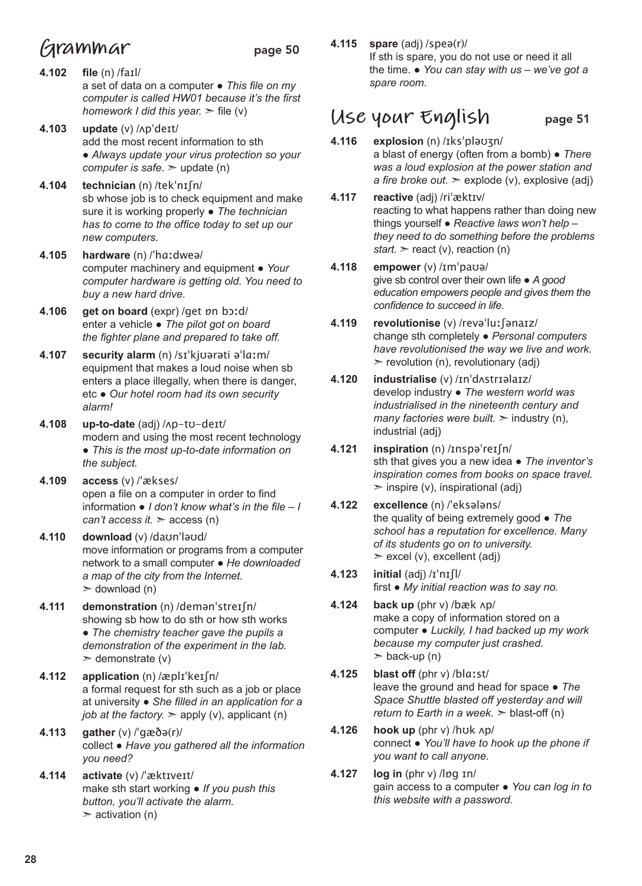## **Grammar** page 50

- **4.102 file** (n) /faɪl/ a set of data on a computer ● *This file on my computer is called HW01 because it's the first homework I did this year.* ➣ file (v)
- **4.103 update** (v) /ʌpˈdeɪt/ add the most recent information to sth ● *Always update your virus protection so your computer is safe.* ➣ update (n)
- **4.104 technician** (n) /tekˈnɪʃn/ sb whose job is to check equipment and make sure it is working properly ● *The technician has to come to the office today to set up our new computers.*
- **4.105 hardware** (n) /ˈhɑːdweə/ computer machinery and equipment *● Your computer hardware is getting old. You need to buy a new hard drive.*
- **4.106 get on board** (expr) /get ɒn bɔːd/ enter a vehicle ● *The pilot got on board the fighter plane and prepared to take off.*
- **4.107 security alarm** (n) /sɪˈkjʊərəti əˈlɑːm/ equipment that makes a loud noise when sb enters a place illegally, when there is danger, etc ● *Our hotel room had its own security alarm!*
- **4.108 up-to-date** (adj) /ʌp-tʊ-deɪt/ modern and using the most recent technology ● *This is the most up-to-date information on the subject.*
- **4.109 access** (v) /ˈækses/ open a file on a computer in order to find information ● *I don't know what's in the file – I can't access it.*  $\geq$  access (n)
- **4.110 download** (v) /daʊnˈləʊd/ move information or programs from a computer network to a small computer ● *He downloaded a map of the city from the Internet.*   $\geq$  download (n)
- **4.111 demonstration** (n) /demənˈstreɪʃn/ showing sb how to do sth or how sth works ● *The chemistry teacher gave the pupils a demonstration of the experiment in the lab.*   $\ge$  demonstrate (v)
- **4.112 application** (n) /æplɪˈkeɪʃn/ a formal request for sth such as a job or place at university ● *She filled in an application for a job at the factory.*  $\geq$  apply (v), applicant (n)
- **4.113 gather** (v) /ˈɡæðə(r)/ collect ● *Have you gathered all the information you need?*
- **4.114 activate** (v) /ˈæktɪveɪt/ make sth start working ● *If you push this button, you'll activate the alarm.*  $\ge$  activation (n)

#### **4.115 spare** (adj) /speə(r)/ If sth is spare, you do not use or need it all the time. ● *You can stay with us – we've got a spare room.*

### **Use your English** page 51

- **4.116 explosion** (n) /ɪksˈpləʊʒn/ a blast of energy (often from a bomb) ● *There was a loud explosion at the power station and a fire broke out.*  $\geq$  explode (v), explosive (adj)
- **4.117 reactive** (adj) /riˈæktɪv/ reacting to what happens rather than doing new things yourself ● *Reactive laws won't help – they need to do something before the problems start.*  $\ge$  react (v), reaction (n)
- **4.118 empower** (v) /ɪmˈpaʊə/ give sb control over their own life ● *A good education empowers people and gives them the confidence to succeed in life.*
- **4.119 revolutionise** (v) /revəˈluːʃənaɪz/ change sth completely ● *Personal computers have revolutionised the way we live and work.*   $\triangleright$  revolution (n), revolutionary (adj)
- **4.120 industrialise** (v) /ɪnˈdʌstrɪəlaɪz/ develop industry ● *The western world was industrialised in the nineteenth century and many factories were built.*  $\geq$  industry (n), industrial (adj)
- **4.121 inspiration** (n) /ɪnspəˈreɪʃn/ sth that gives you a new idea ● *The inventor's inspiration comes from books on space travel.*   $\geq$  inspire (v), inspirational (adj)
- **4.122 excellence** (n) /ˈeksələns/ the quality of being extremely good ● *The school has a reputation for excellence. Many of its students go on to university.*   $\ge$  excel (v), excellent (adj)
- **4.123 initial** (adj) /ɪˈnɪʃl/ first ● *My initial reaction was to say no.*
- **4.124 back up** (phr v) /bæk ʌp/ make a copy of information stored on a computer ● *Luckily, I had backed up my work because my computer just crashed.*   $\geq$  back-up (n)
- **4.125 blast off** (phr v) /blɑːst/ leave the ground and head for space ● *The Space Shuttle blasted off yesterday and will return to Earth in a week.*  $>$  blast-off (n)
- **4.126 hook up** (phr v) /hʊk ʌp/ connect ● *You'll have to hook up the phone if you want to call anyone.*
- **4.127 log in** (phr v) /lɒg ɪn/ gain access to a computer ● *You can log in to this website with a password.*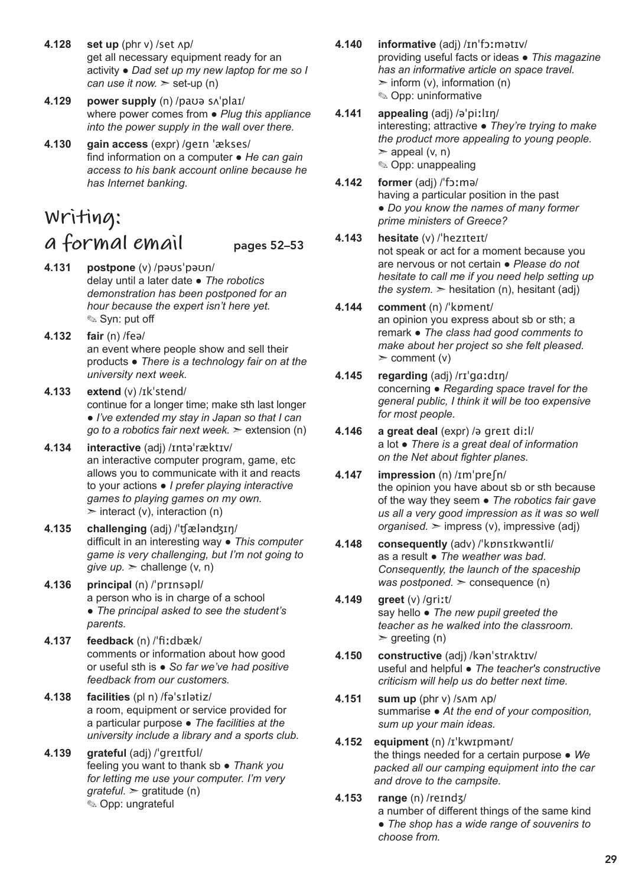- **4.128 set up** (phr v) /set ʌp/ get all necessary equipment ready for an activity ● *Dad set up my new laptop for me so I can use it now.*  $\ge$  set-up (n)
- **4.129 power supply** (n) /paʊə sʌˈplaɪ/ where power comes from ● *Plug this appliance into the power supply in the wall over there.*
- **4.130 gain access** (expr) /geɪn ˈækses/ find information on a computer ● *He can gain access to his bank account online because he has Internet banking.*

## **Writing: a formal email** pages 52–53

- **4.131 postpone** (v) /pəʊsˈpəʊn/ delay until a later date ● *The robotics demonstration has been postponed for an hour because the expert isn't here yet.*  ✎ Syn: put off
- **4.132 fair** (n) /feə/ an event where people show and sell their products ● *There is a technology fair on at the university next week.*
- **4.133 extend** (v) /ɪkˈstend/ continue for a longer time; make sth last longer ● *I've extended my stay in Japan so that I can go to a robotics fair next week.* ➣ extension (n)
- **4.134 interactive** (adj) /ɪntəˈræktɪv/ an interactive computer program, game, etc allows you to communicate with it and reacts to your actions ● *I prefer playing interactive games to playing games on my own.*   $\geq$  interact (v), interaction (n)
- **4.135 challenging** (adj) /ˈʧælənʤɪŋ/ difficult in an interesting way ● *This computer game is very challenging, but I'm not going to give up.*  $\ge$  challenge (v, n)
- **4.136 principal** (n) /ˈprɪnsəpl/ a person who is in charge of a school ● *The principal asked to see the student's parents.*
- **4.137 feedback** (n) /ˈfiːdbæk/ comments or information about how good or useful sth is ● *So far we've had positive feedback from our customers.*
- **4.138 facilities** (pl n) /fəˈsɪlətiz/ a room, equipment or service provided for a particular purpose ● *The facilities at the university include a library and a sports club.*
- **4.139 grateful** (adj) /ˈgreɪtfʊl/ feeling you want to thank sb ● *Thank you for letting me use your computer. I'm very grateful.* ➣ gratitude (n) ✎ Opp: ungrateful
- **4.140 informative** (adj) /ɪnˈfɔːmətɪv/ providing useful facts or ideas ● *This magazine has an informative article on space travel.*   $\geq$  inform (v), information (n) ✎ Opp: uninformative
- **4.141 appealing** (adj) /əˈpiːlɪŋ/ interesting; attractive ● *They're trying to make the product more appealing to young people.*  $\geq$  appeal (v, n) ✎ Opp: unappealing
- **4.142 former** (adj) /ˈfɔːmə/ having a particular position in the past ● *Do you know the names of many former prime ministers of Greece?*

#### **4.143 hesitate** (v) /ˈhezɪteɪt/

not speak or act for a moment because you are nervous or not certain ● *Please do not hesitate to call me if you need help setting up the system.*  $\ge$  hesitation (n), hesitant (adj)

- **4.144 comment** (n) /ˈkɒment/ an opinion you express about sb or sth; a remark ● *The class had good comments to make about her project so she felt pleased.*   $\geq$  comment (v)
- **4.145 regarding** (adj) /rɪˈgɑːdɪŋ/ concerning ● *Regarding space travel for the general public, I think it will be too expensive for most people.*
- **4.146 a great deal** (expr) /ə greɪt diːl/ a lot ● *There is a great deal of information on the Net about fighter planes.*
- **4.147 impression** (n) /ɪmˈpreʃn/ the opinion you have about sb or sth because of the way they seem ● *The robotics fair gave us all a very good impression as it was so well organised.* ➣ impress (v), impressive (adj)
- **4.148 consequently** (adv) /ˈkɒnsɪkwəntli/ as a result ● *The weather was bad. Consequently, the launch of the spaceship was postponed.* ➣ consequence (n)
- **4.149 greet** (v) /griːt/ say hello ● *The new pupil greeted the teacher as he walked into the classroom.*   $\ge$  greeting (n)
- **4.150 constructive** (adj) /kənˈstrʌktɪv/ useful and helpful ● *The teacher's constructive criticism will help us do better next time.*
- **4.151 sum up** (phr v) /sʌm ʌp/ summarise ● *At the end of your composition, sum up your main ideas.*
- **4.152 equipment** (n) /ɪˈkwɪpmənt/ the things needed for a certain purpose ● *We packed all our camping equipment into the car and drove to the campsite.*
- **4.153 range** (n) /reɪndʒ/

a number of different things of the same kind ● *The shop has a wide range of souvenirs to choose from.*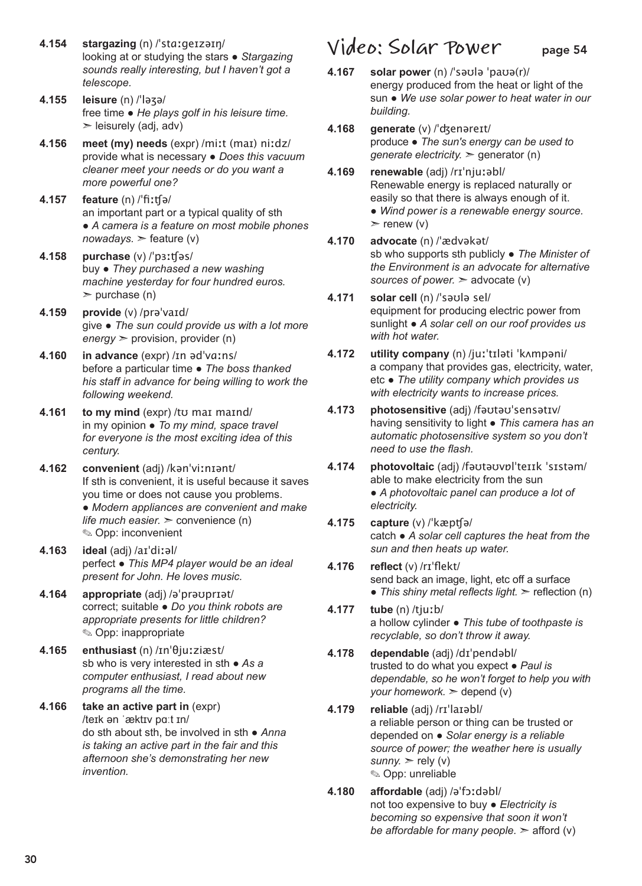- **4.154 stargazing** (n) /ˈstɑːɡeɪzəɪŋ/ looking at or studying the stars ● *Stargazing sounds really interesting, but I haven't got a telescope.*
- **4.155 leisure** (n) /ˈləʒə/ free time ● *He plays golf in his leisure time.*   $\ge$  leisurely (adj, adv)
- **4.156 meet (my) needs** (expr) /miːt (maɪ) niːdz/ provide what is necessary ● *Does this vacuum cleaner meet your needs or do you want a more powerful one?*
- **4.157 feature** (n) /ˈfiːʧə/ an important part or a typical quality of sth ● *A camera is a feature on most mobile phones*   $nowadays.$   $\ge$  feature (v)
- **4.158 purchase** (v) /ˈpɜːʧəs/ buy ● *They purchased a new washing machine yesterday for four hundred euros.*   $\ge$  purchase (n)
- **4.159 provide** (v) /prəˈvaɪd/ give ● *The sun could provide us with a lot more energy* ➣ provision, provider (n)
- **4.160 in advance** (expr) /ɪn ədˈvɑːns/ before a particular time ● *The boss thanked his staff in advance for being willing to work the following weekend.*
- **4.161 to my mind** (expr) /to mai maind/ in my opinion ● *To my mind, space travel for everyone is the most exciting idea of this century.*
- **4.162 convenient** (adj) /kənˈviːnɪənt/ If sth is convenient, it is useful because it saves you time or does not cause you problems. ● *Modern appliances are convenient and make life much easier.*  $>$  convenience (n) ✎ Opp: inconvenient
- **4.163 ideal** (adj) /aɪˈdiːəl/ perfect ● *This MP4 player would be an ideal present for John. He loves music.*
- **4.164 appropriate** (adj) /əˈprəʊprɪət/ correct; suitable ● *Do you think robots are appropriate presents for little children?*  ✎ Opp: inappropriate
- **4.165 enthusiast** (n) /ɪnˈθjuːziæst/ sb who is very interested in sth ● *As a computer enthusiast, I read about new programs all the time.*
- **4.166 take an active part in** (expr) /teɪk ən ˈæktɪv pɑːt ɪn/ do sth about sth, be involved in sth ● *Anna is taking an active part in the fair and this afternoon she's demonstrating her new invention.*

### **Video: Solar Power** page 54

- **4.167 solar power** (n) /ˈsəʊlə ˈpaʊə(r)/ energy produced from the heat or light of the sun ● *We use solar power to heat water in our building.*
- **4.168 generate** (v) /ˈʤenəreɪt/ produce ● *The sun's energy can be used to generate electricity.* ➣ generator (n)
- **4.169 renewable** (adj) /rɪˈnjuːəbl/ Renewable energy is replaced naturally or easily so that there is always enough of it. ● *Wind power is a renewable energy source.*   $\triangleright$  renew (v)
- **4.170 advocate** (n) /ˈædvəkət/ sb who supports sth publicly ● *The Minister of the Environment is an advocate for alternative sources of power.* ➣ advocate (v)
- **4.171 solar cell** (n) /ˈsəʊlə sel/ equipment for producing electric power from sunlight ● *A solar cell on our roof provides us with hot water.*
- **4.172 utility company** (n) /juːˈtɪləti ˈkʌmpəni/ a company that provides gas, electricity, water, etc ● *The utility company which provides us with electricity wants to increase prices.*
- **4.173 photosensitive** (adj) /fəʊtəʊˈsensətɪv/ having sensitivity to light ● *This camera has an automatic photosensitive system so you don't need to use the flash.*
- **4.174 photovoltaic** (adj) /fəʊtəʊvɒlˈteɪɪk ˈsɪstəm/ able to make electricity from the sun ● *A photovoltaic panel can produce a lot of electricity.*
- **4.175 capture** (v) /ˈkæpʧə/ catch ● *A solar cell captures the heat from the sun and then heats up water.*
- **4.176 reflect** (v) /rɪˈflekt/ send back an image, light, etc off a surface • *This shiny metal reflects light.* > reflection (n)
- **4.177 tube** (n) /tjuːb/ a hollow cylinder ● *This tube of toothpaste is recyclable, so don't throw it away.*
- **4.178 dependable** (adj) /dɪˈpendəbl/ trusted to do what you expect ● *Paul is dependable, so he won't forget to help you with your homework.* ➣ depend (v)
- **4.179 reliable** (adj) /rɪˈlaɪəbl/ a reliable person or thing can be trusted or depended on ● *Solar energy is a reliable source of power; the weather here is usually sunny.*  $>$  rely (v) ✎ Opp: unreliable
- **4.180 affordable** (adj) /əˈfɔːdəbl/ not too expensive to buy ● *Electricity is becoming so expensive that soon it won't be affordable for many people.*  $\geq$  afford (v)